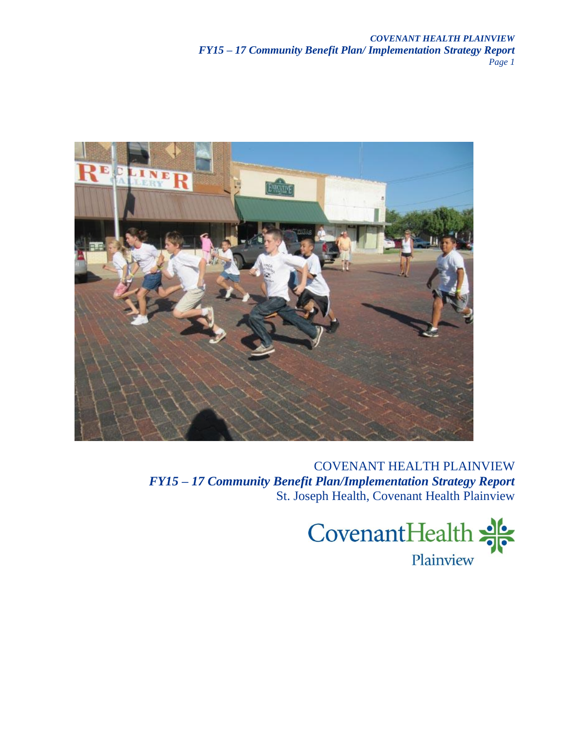

COVENANT HEALTH PLAINVIEW *FY15 – 17 Community Benefit Plan/Implementation Strategy Report* St. Joseph Health, Covenant Health Plainview

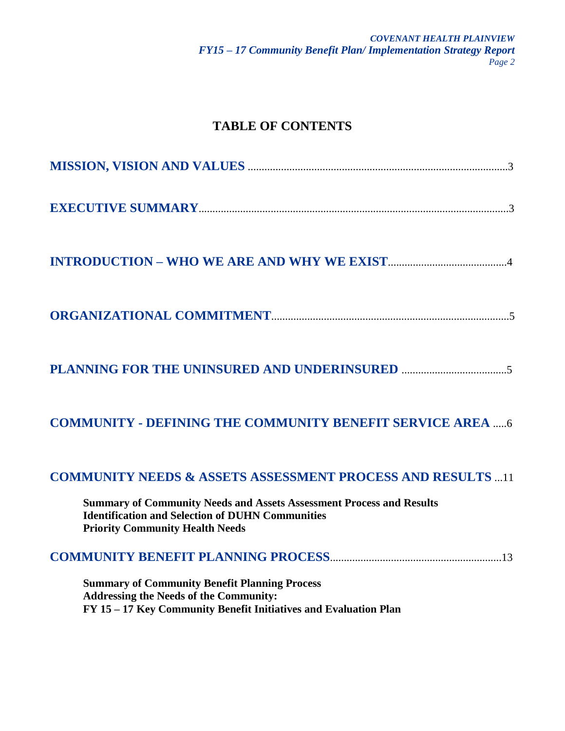# **TABLE OF CONTENTS**

| <b>COMMUNITY - DEFINING THE COMMUNITY BENEFIT SERVICE AREA  6</b>                                                                                                                |
|----------------------------------------------------------------------------------------------------------------------------------------------------------------------------------|
| <b>COMMUNITY NEEDS &amp; ASSETS ASSESSMENT PROCESS AND RESULTS 11</b>                                                                                                            |
| <b>Summary of Community Needs and Assets Assessment Process and Results</b><br><b>Identification and Selection of DUHN Communities</b><br><b>Priority Community Health Needs</b> |
|                                                                                                                                                                                  |
| <b>Summary of Community Benefit Planning Process</b><br><b>Addressing the Needs of the Community:</b><br>FY 15 - 17 Key Community Benefit Initiatives and Evaluation Plan        |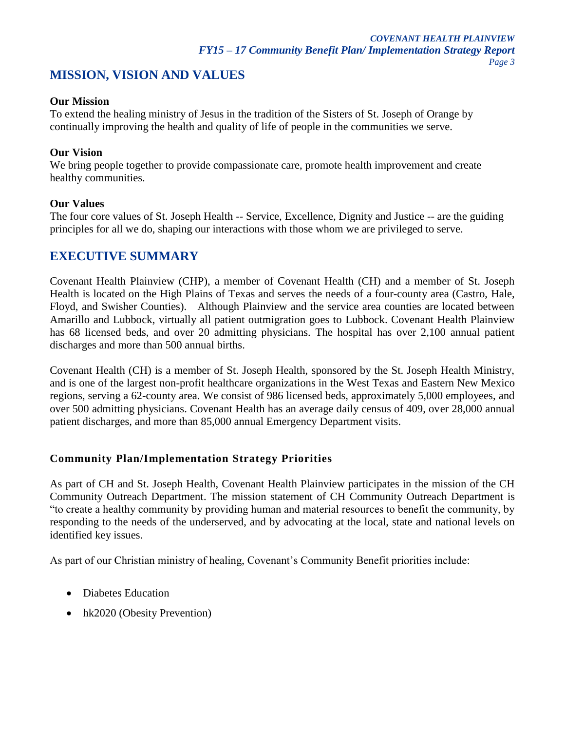# **MISSION, VISION AND VALUES**

#### **Our Mission**

To extend the healing ministry of Jesus in the tradition of the Sisters of St. Joseph of Orange by continually improving the health and quality of life of people in the communities we serve.

#### **Our Vision**

We bring people together to provide compassionate care, promote health improvement and create healthy communities.

#### **Our Values**

The four core values of St. Joseph Health -- Service, Excellence, Dignity and Justice -- are the guiding principles for all we do, shaping our interactions with those whom we are privileged to serve.

# **EXECUTIVE SUMMARY**

Covenant Health Plainview (CHP), a member of Covenant Health (CH) and a member of St. Joseph Health is located on the High Plains of Texas and serves the needs of a four-county area (Castro, Hale, Floyd, and Swisher Counties). Although Plainview and the service area counties are located between Amarillo and Lubbock, virtually all patient outmigration goes to Lubbock. Covenant Health Plainview has 68 licensed beds, and over 20 admitting physicians. The hospital has over 2,100 annual patient discharges and more than 500 annual births.

Covenant Health (CH) is a member of St. Joseph Health, sponsored by the St. Joseph Health Ministry, and is one of the largest non-profit healthcare organizations in the West Texas and Eastern New Mexico regions, serving a 62-county area. We consist of 986 licensed beds, approximately 5,000 employees, and over 500 admitting physicians. Covenant Health has an average daily census of 409, over 28,000 annual patient discharges, and more than 85,000 annual Emergency Department visits.

## **Community Plan/Implementation Strategy Priorities**

As part of CH and St. Joseph Health, Covenant Health Plainview participates in the mission of the CH Community Outreach Department. The mission statement of CH Community Outreach Department is "to create a healthy community by providing human and material resources to benefit the community, by responding to the needs of the underserved, and by advocating at the local, state and national levels on identified key issues.

As part of our Christian ministry of healing, Covenant's Community Benefit priorities include:

- Diabetes Education
- hk2020 (Obesity Prevention)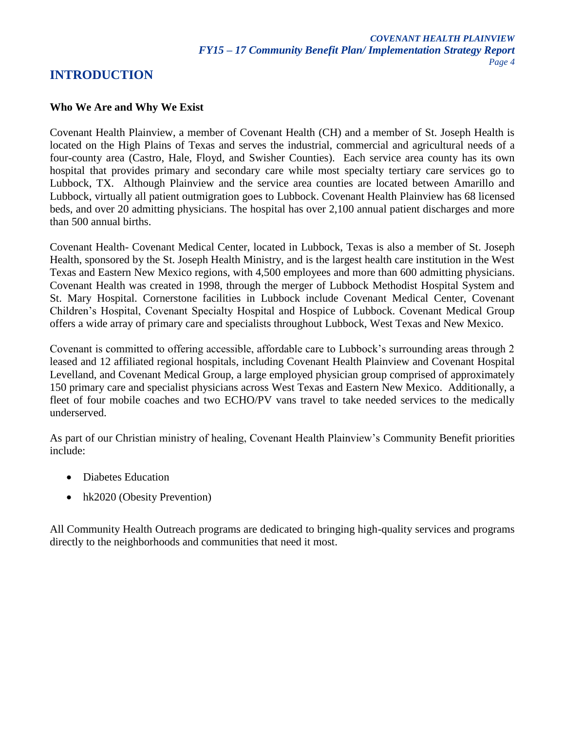# **INTRODUCTION**

## **Who We Are and Why We Exist**

Covenant Health Plainview, a member of Covenant Health (CH) and a member of St. Joseph Health is located on the High Plains of Texas and serves the industrial, commercial and agricultural needs of a four-county area (Castro, Hale, Floyd, and Swisher Counties). Each service area county has its own hospital that provides primary and secondary care while most specialty tertiary care services go to Lubbock, TX. Although Plainview and the service area counties are located between Amarillo and Lubbock, virtually all patient outmigration goes to Lubbock. Covenant Health Plainview has 68 licensed beds, and over 20 admitting physicians. The hospital has over 2,100 annual patient discharges and more than 500 annual births.

Covenant Health- Covenant Medical Center, located in Lubbock, Texas is also a member of St. Joseph Health, sponsored by the St. Joseph Health Ministry, and is the largest health care institution in the West Texas and Eastern New Mexico regions, with 4,500 employees and more than 600 admitting physicians. Covenant Health was created in 1998, through the merger of Lubbock Methodist Hospital System and St. Mary Hospital. Cornerstone facilities in Lubbock include Covenant Medical Center, Covenant Children's Hospital, Covenant Specialty Hospital and Hospice of Lubbock. Covenant Medical Group offers a wide array of primary care and specialists throughout Lubbock, West Texas and New Mexico.

Covenant is committed to offering accessible, affordable care to Lubbock's surrounding areas through 2 leased and 12 affiliated regional hospitals, including Covenant Health Plainview and Covenant Hospital Levelland, and Covenant Medical Group, a large employed physician group comprised of approximately 150 primary care and specialist physicians across West Texas and Eastern New Mexico. Additionally, a fleet of four mobile coaches and two ECHO/PV vans travel to take needed services to the medically underserved.

As part of our Christian ministry of healing, Covenant Health Plainview's Community Benefit priorities include:

- Diabetes Education
- hk2020 (Obesity Prevention)

All Community Health Outreach programs are dedicated to bringing high-quality services and programs directly to the neighborhoods and communities that need it most.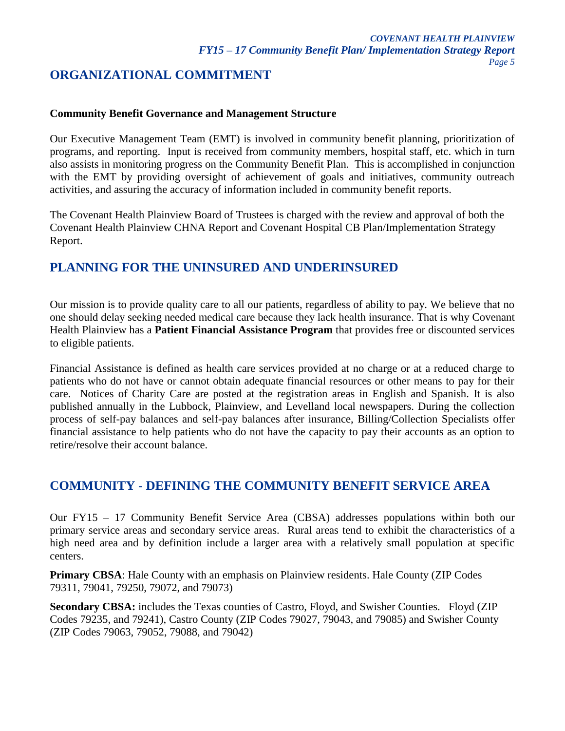# **ORGANIZATIONAL COMMITMENT**

#### **Community Benefit Governance and Management Structure**

Our Executive Management Team (EMT) is involved in community benefit planning, prioritization of programs, and reporting. Input is received from community members, hospital staff, etc. which in turn also assists in monitoring progress on the Community Benefit Plan. This is accomplished in conjunction with the EMT by providing oversight of achievement of goals and initiatives, community outreach activities, and assuring the accuracy of information included in community benefit reports.

The Covenant Health Plainview Board of Trustees is charged with the review and approval of both the Covenant Health Plainview CHNA Report and Covenant Hospital CB Plan/Implementation Strategy Report.

# **PLANNING FOR THE UNINSURED AND UNDERINSURED**

Our mission is to provide quality care to all our patients, regardless of ability to pay. We believe that no one should delay seeking needed medical care because they lack health insurance. That is why Covenant Health Plainview has a **Patient Financial Assistance Program** that provides free or discounted services to eligible patients.

Financial Assistance is defined as health care services provided at no charge or at a reduced charge to patients who do not have or cannot obtain adequate financial resources or other means to pay for their care. Notices of Charity Care are posted at the registration areas in English and Spanish. It is also published annually in the Lubbock, Plainview, and Levelland local newspapers. During the collection process of self-pay balances and self-pay balances after insurance, Billing/Collection Specialists offer financial assistance to help patients who do not have the capacity to pay their accounts as an option to retire/resolve their account balance.

# **COMMUNITY - DEFINING THE COMMUNITY BENEFIT SERVICE AREA**

Our FY15 – 17 Community Benefit Service Area (CBSA) addresses populations within both our primary service areas and secondary service areas. Rural areas tend to exhibit the characteristics of a high need area and by definition include a larger area with a relatively small population at specific centers.

**Primary CBSA**: Hale County with an emphasis on Plainview residents. Hale County (ZIP Codes 79311, 79041, 79250, 79072, and 79073)

**Secondary CBSA:** includes the Texas counties of Castro, Floyd, and Swisher Counties. Floyd (ZIP Codes 79235, and 79241), Castro County (ZIP Codes 79027, 79043, and 79085) and Swisher County (ZIP Codes 79063, 79052, 79088, and 79042)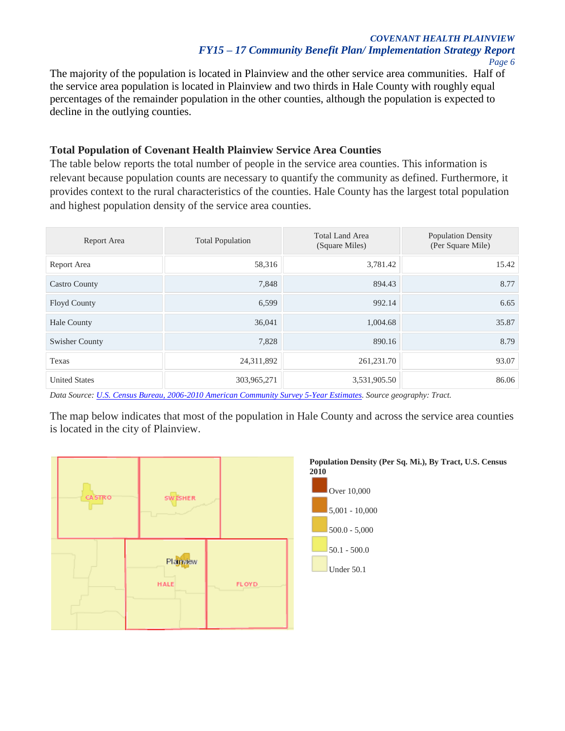#### *COVENANT HEALTH PLAINVIEW FY15 – 17 Community Benefit Plan/ Implementation Strategy Report Page 6*

The majority of the population is located in Plainview and the other service area communities. Half of the service area population is located in Plainview and two thirds in Hale County with roughly equal percentages of the remainder population in the other counties, although the population is expected to decline in the outlying counties.

#### **Total Population of Covenant Health Plainview Service Area Counties**

The table below reports the total number of people in the service area counties. This information is relevant because population counts are necessary to quantify the community as defined. Furthermore, it provides context to the rural characteristics of the counties. Hale County has the largest total population and highest population density of the service area counties.

| Report Area           | <b>Total Population</b> | <b>Total Land Area</b><br>(Square Miles) | <b>Population Density</b><br>(Per Square Mile) |
|-----------------------|-------------------------|------------------------------------------|------------------------------------------------|
| Report Area           | 58,316                  | 3,781.42                                 | 15.42                                          |
| <b>Castro County</b>  | 7,848                   | 894.43                                   | 8.77                                           |
| <b>Floyd County</b>   | 6,599                   | 992.14                                   | 6.65                                           |
| <b>Hale County</b>    | 36,041                  | 1,004.68                                 | 35.87                                          |
| <b>Swisher County</b> | 7,828                   | 890.16                                   | 8.79                                           |
| Texas                 | 24,311,892              | 261,231.70                               | 93.07                                          |
| <b>United States</b>  | 303,965,271             | 3,531,905.50                             | 86.06                                          |

*Data Source[: U.S. Census Bureau, 2006-2010 American Community Survey 5-Year Estimates.](http://www.census.gov/acs/www/data_documentation/2010_release/) Source geography: Tract.*

The map below indicates that most of the population in Hale County and across the service area counties is located in the city of Plainview.



# **Population Density (Per Sq. Mi.), By Tract, U.S. Census**

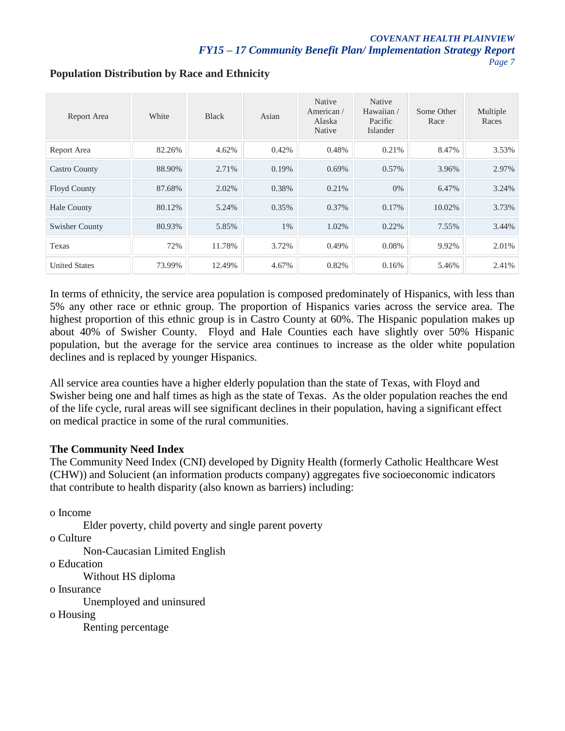#### *COVENANT HEALTH PLAINVIEW FY15 – 17 Community Benefit Plan/ Implementation Strategy Report Page 7*

| Report Area           | White  | <b>Black</b> | Asian | Native<br>American/<br>Alaska<br><b>Native</b> | Native<br>Hawaiian/<br>Pacific<br>Islander | Some Other<br>Race | Multiple<br>Races |
|-----------------------|--------|--------------|-------|------------------------------------------------|--------------------------------------------|--------------------|-------------------|
| Report Area           | 82.26% | 4.62%        | 0.42% | 0.48%                                          | 0.21%                                      | 8.47%              | 3.53%             |
| <b>Castro County</b>  | 88.90% | 2.71%        | 0.19% | 0.69%                                          | 0.57%                                      | 3.96%              | 2.97%             |
| <b>Floyd County</b>   | 87.68% | 2.02%        | 0.38% | 0.21%                                          | $0\%$                                      | 6.47%              | 3.24%             |
| <b>Hale County</b>    | 80.12% | 5.24%        | 0.35% | 0.37%                                          | 0.17%                                      | 10.02%             | 3.73%             |
| <b>Swisher County</b> | 80.93% | 5.85%        | $1\%$ | 1.02%                                          | 0.22%                                      | 7.55%              | 3.44%             |
| Texas                 | 72%    | 11.78%       | 3.72% | 0.49%                                          | 0.08%                                      | 9.92%              | 2.01%             |
| <b>United States</b>  | 73.99% | 12.49%       | 4.67% | 0.82%                                          | 0.16%                                      | 5.46%              | 2.41%             |

# **Population Distribution by Race and Ethnicity**

In terms of ethnicity, the service area population is composed predominately of Hispanics, with less than 5% any other race or ethnic group. The proportion of Hispanics varies across the service area. The highest proportion of this ethnic group is in Castro County at 60%. The Hispanic population makes up about 40% of Swisher County. Floyd and Hale Counties each have slightly over 50% Hispanic population, but the average for the service area continues to increase as the older white population declines and is replaced by younger Hispanics.

All service area counties have a higher elderly population than the state of Texas, with Floyd and Swisher being one and half times as high as the state of Texas. As the older population reaches the end of the life cycle, rural areas will see significant declines in their population, having a significant effect on medical practice in some of the rural communities.

## **The Community Need Index**

The Community Need Index (CNI) developed by Dignity Health (formerly Catholic Healthcare West (CHW)) and Solucient (an information products company) aggregates five socioeconomic indicators that contribute to health disparity (also known as barriers) including:

o Income

Elder poverty, child poverty and single parent poverty

o Culture

Non-Caucasian Limited English

o Education

Without HS diploma

o Insurance

Unemployed and uninsured

o Housing

Renting percentage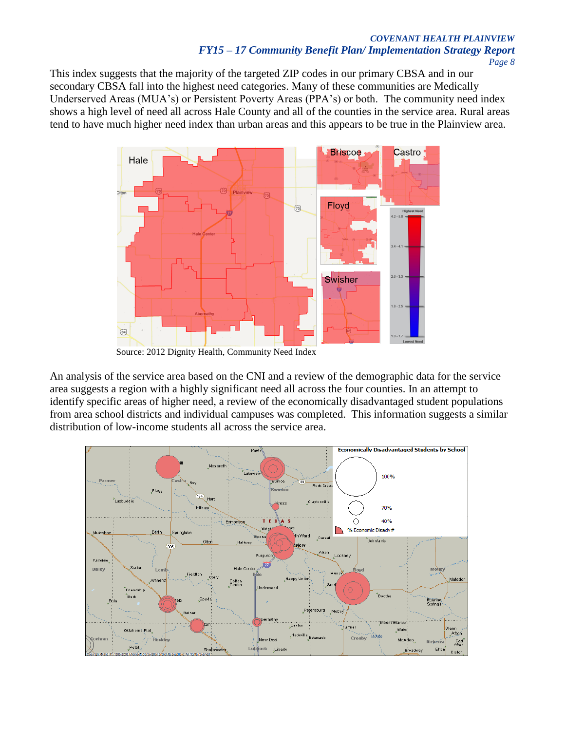# *COVENANT HEALTH PLAINVIEW FY15 – 17 Community Benefit Plan/ Implementation Strategy Report*

*Page 8*

This index suggests that the majority of the targeted ZIP codes in our primary CBSA and in our secondary CBSA fall into the highest need categories. Many of these communities are Medically Underserved Areas (MUA's) or Persistent Poverty Areas (PPA's) or both. The community need index shows a high level of need all across Hale County and all of the counties in the service area. Rural areas tend to have much higher need index than urban areas and this appears to be true in the Plainview area.



Source: 2012 Dignity Health, Community Need Index

An analysis of the service area based on the CNI and a review of the demographic data for the service area suggests a region with a highly significant need all across the four counties. In an attempt to identify specific areas of higher need, a review of the economically disadvantaged student populations from area school districts and individual campuses was completed. This information suggests a similar distribution of low-income students all across the service area.

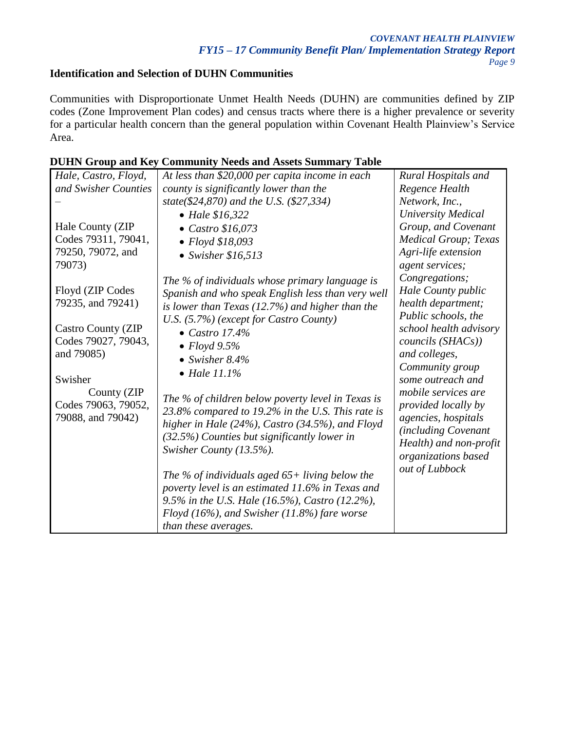# **Identification and Selection of DUHN Communities**

Communities with Disproportionate Unmet Health Needs (DUHN) are communities defined by ZIP codes (Zone Improvement Plan codes) and census tracts where there is a higher prevalence or severity for a particular health concern than the general population within Covenant Health Plainview's Service Area.

## **DUHN Group and Key Community Needs and Assets Summary Table**

| Hale, Castro, Floyd,                  | At less than \$20,000 per capita income in each         | Rural Hospitals and          |
|---------------------------------------|---------------------------------------------------------|------------------------------|
| and Swisher Counties                  | county is significantly lower than the                  | Regence Health               |
|                                       | state(\$24,870) and the U.S. (\$27,334)                 | Network, Inc.,               |
|                                       | • Hale $$16,322$                                        | <b>University Medical</b>    |
| Hale County (ZIP                      | $\bullet$ Castro \$16,073                               | Group, and Covenant          |
| Codes 79311, 79041,                   | $\bullet$ Floyd \$18,093                                | <b>Medical Group</b> ; Texas |
| 79250, 79072, and                     | $\bullet$ Swisher \$16,513                              | Agri-life extension          |
| 79073)                                |                                                         | agent services;              |
|                                       | The % of individuals whose primary language is          | Congregations;               |
| Floyd (ZIP Codes<br>79235, and 79241) | Spanish and who speak English less than very well       | Hale County public           |
|                                       | is lower than Texas $(12.7%)$ and higher than the       | health department;           |
|                                       | U.S. (5.7%) (except for Castro County)                  | Public schools, the          |
| <b>Castro County (ZIP</b>             | • Castro 17.4%                                          | school health advisory       |
| Codes 79027, 79043,                   | $\bullet$ Floyd 9.5%                                    | councils (SHACs))            |
| and 79085)                            | • Swisher $8.4\%$                                       | and colleges,                |
|                                       | $\bullet$ Hale 11.1%                                    | Community group              |
| Swisher                               |                                                         | some outreach and            |
| County (ZIP                           |                                                         | mobile services are          |
| Codes 79063, 79052,                   | The % of children below poverty level in Texas is       | provided locally by          |
| 79088, and 79042)                     | 23.8% compared to 19.2% in the U.S. This rate is        | agencies, hospitals          |
|                                       | higher in Hale $(24\%)$ , Castro $(34.5\%)$ , and Floyd | (including Covenant          |
|                                       | (32.5%) Counties but significantly lower in             | Health) and non-profit       |
|                                       | Swisher County (13.5%).                                 | organizations based          |
|                                       |                                                         | out of Lubbock               |
|                                       | The % of individuals aged $65+$ living below the        |                              |
|                                       | poverty level is an estimated 11.6% in Texas and        |                              |
|                                       | 9.5% in the U.S. Hale (16.5%), Castro (12.2%),          |                              |
|                                       | Floyd (16%), and Swisher (11.8%) fare worse             |                              |
|                                       | than these averages.                                    |                              |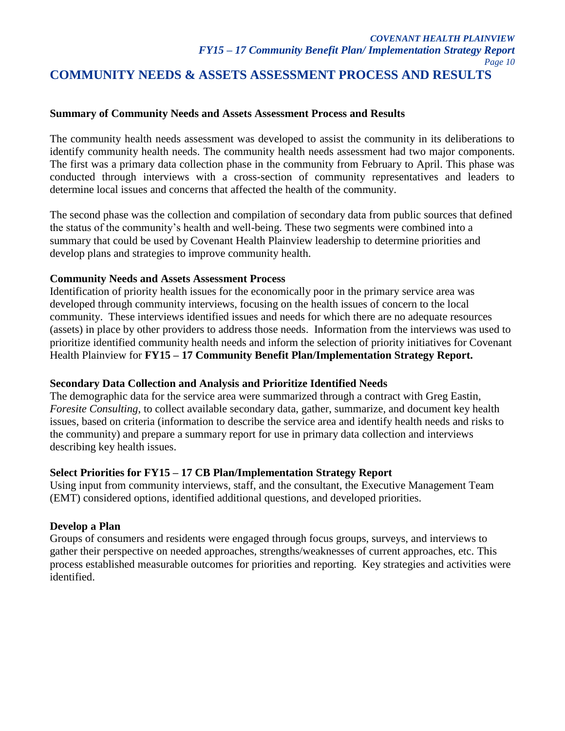#### *COVENANT HEALTH PLAINVIEW FY15 – 17 Community Benefit Plan/ Implementation Strategy Report Page 10* **COMMUNITY NEEDS & ASSETS ASSESSMENT PROCESS AND RESULTS**

#### **Summary of Community Needs and Assets Assessment Process and Results**

The community health needs assessment was developed to assist the community in its deliberations to identify community health needs. The community health needs assessment had two major components. The first was a primary data collection phase in the community from February to April. This phase was conducted through interviews with a cross-section of community representatives and leaders to determine local issues and concerns that affected the health of the community.

The second phase was the collection and compilation of secondary data from public sources that defined the status of the community's health and well-being. These two segments were combined into a summary that could be used by Covenant Health Plainview leadership to determine priorities and develop plans and strategies to improve community health.

#### **Community Needs and Assets Assessment Process**

Identification of priority health issues for the economically poor in the primary service area was developed through community interviews, focusing on the health issues of concern to the local community. These interviews identified issues and needs for which there are no adequate resources (assets) in place by other providers to address those needs. Information from the interviews was used to prioritize identified community health needs and inform the selection of priority initiatives for Covenant Health Plainview for **FY15 – 17 Community Benefit Plan/Implementation Strategy Report.** 

#### **Secondary Data Collection and Analysis and Prioritize Identified Needs**

The demographic data for the service area were summarized through a contract with Greg Eastin, *Foresite Consulting*, to collect available secondary data, gather, summarize, and document key health issues, based on criteria (information to describe the service area and identify health needs and risks to the community) and prepare a summary report for use in primary data collection and interviews describing key health issues.

#### **Select Priorities for FY15 – 17 CB Plan/Implementation Strategy Report**

Using input from community interviews, staff, and the consultant, the Executive Management Team (EMT) considered options, identified additional questions, and developed priorities.

#### **Develop a Plan**

Groups of consumers and residents were engaged through focus groups, surveys, and interviews to gather their perspective on needed approaches, strengths/weaknesses of current approaches, etc. This process established measurable outcomes for priorities and reporting. Key strategies and activities were identified.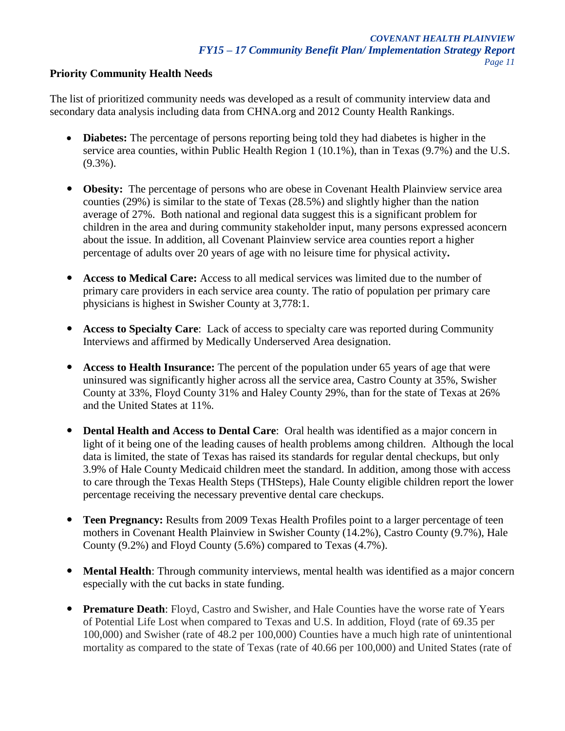## **Priority Community Health Needs**

The list of prioritized community needs was developed as a result of community interview data and secondary data analysis including data from CHNA.org and 2012 County Health Rankings.

- **Diabetes:** The percentage of persons reporting being told they had diabetes is higher in the service area counties, within Public Health Region 1 (10.1%), than in Texas (9.7%) and the U.S.  $(9.3\%)$ .
- **Obesity:** The percentage of persons who are obese in Covenant Health Plainview service area counties (29%) is similar to the state of Texas (28.5%) and slightly higher than the nation average of 27%. Both national and regional data suggest this is a significant problem for children in the area and during community stakeholder input, many persons expressed aconcern about the issue. In addition, all Covenant Plainview service area counties report a higher percentage of adults over 20 years of age with no leisure time for physical activity**.**
- **Access to Medical Care:** Access to all medical services was limited due to the number of primary care providers in each service area county. The ratio of population per primary care physicians is highest in Swisher County at 3,778:1.
- **Access to Specialty Care:** Lack of access to specialty care was reported during Community Interviews and affirmed by Medically Underserved Area designation.
- **Access to Health Insurance:** The percent of the population under 65 years of age that were uninsured was significantly higher across all the service area, Castro County at 35%, Swisher County at 33%, Floyd County 31% and Haley County 29%, than for the state of Texas at 26% and the United States at 11%.
- **Dental Health and Access to Dental Care:** Oral health was identified as a major concern in light of it being one of the leading causes of health problems among children. Although the local data is limited, the state of Texas has raised its standards for regular dental checkups, but only 3.9% of Hale County Medicaid children meet the standard. In addition, among those with access to care through the Texas Health Steps (THSteps), Hale County eligible children report the lower percentage receiving the necessary preventive dental care checkups.
- **Teen Pregnancy:** Results from 2009 Texas Health Profiles point to a larger percentage of teen mothers in Covenant Health Plainview in Swisher County (14.2%), Castro County (9.7%), Hale County (9.2%) and Floyd County (5.6%) compared to Texas (4.7%).
- **Mental Health**: Through community interviews, mental health was identified as a major concern especially with the cut backs in state funding.
- **Premature Death**: Floyd, Castro and Swisher, and Hale Counties have the worse rate of Years of Potential Life Lost when compared to Texas and U.S. In addition, Floyd (rate of 69.35 per 100,000) and Swisher (rate of 48.2 per 100,000) Counties have a much high rate of unintentional mortality as compared to the state of Texas (rate of 40.66 per 100,000) and United States (rate of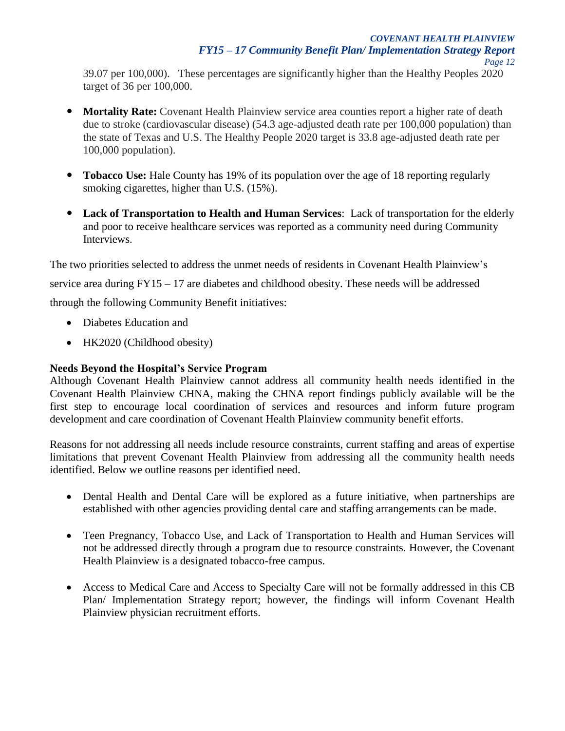39.07 per 100,000). These percentages are significantly higher than the Healthy Peoples 2020 target of 36 per 100,000.

- **Mortality Rate:** Covenant Health Plainview service area counties report a higher rate of death due to stroke (cardiovascular disease) (54.3 age-adjusted death rate per 100,000 population) than the state of Texas and U.S. The Healthy People 2020 target is 33.8 age-adjusted death rate per 100,000 population).
- **Tobacco Use:** Hale County has 19% of its population over the age of 18 reporting regularly smoking cigarettes, higher than U.S.  $(15\%)$ .
- **Lack of Transportation to Health and Human Services**: Lack of transportation for the elderly and poor to receive healthcare services was reported as a community need during Community Interviews.

The two priorities selected to address the unmet needs of residents in Covenant Health Plainview's

service area during FY15 – 17 are diabetes and childhood obesity. These needs will be addressed

through the following Community Benefit initiatives:

- Diabetes Education and
- HK2020 (Childhood obesity)

## **Needs Beyond the Hospital's Service Program**

Although Covenant Health Plainview cannot address all community health needs identified in the Covenant Health Plainview CHNA, making the CHNA report findings publicly available will be the first step to encourage local coordination of services and resources and inform future program development and care coordination of Covenant Health Plainview community benefit efforts.

Reasons for not addressing all needs include resource constraints, current staffing and areas of expertise limitations that prevent Covenant Health Plainview from addressing all the community health needs identified. Below we outline reasons per identified need.

- Dental Health and Dental Care will be explored as a future initiative, when partnerships are established with other agencies providing dental care and staffing arrangements can be made.
- Teen Pregnancy, Tobacco Use, and Lack of Transportation to Health and Human Services will not be addressed directly through a program due to resource constraints. However, the Covenant Health Plainview is a designated tobacco-free campus.
- Access to Medical Care and Access to Specialty Care will not be formally addressed in this CB Plan/ Implementation Strategy report; however, the findings will inform Covenant Health Plainview physician recruitment efforts.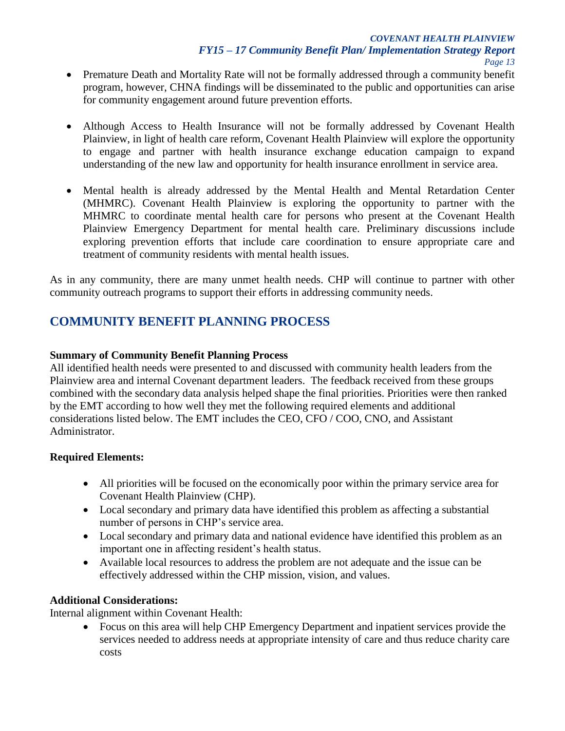- Premature Death and Mortality Rate will not be formally addressed through a community benefit program, however, CHNA findings will be disseminated to the public and opportunities can arise for community engagement around future prevention efforts.
- Although Access to Health Insurance will not be formally addressed by Covenant Health Plainview, in light of health care reform, Covenant Health Plainview will explore the opportunity to engage and partner with health insurance exchange education campaign to expand understanding of the new law and opportunity for health insurance enrollment in service area.
- Mental health is already addressed by the Mental Health and Mental Retardation Center (MHMRC). Covenant Health Plainview is exploring the opportunity to partner with the MHMRC to coordinate mental health care for persons who present at the Covenant Health Plainview Emergency Department for mental health care. Preliminary discussions include exploring prevention efforts that include care coordination to ensure appropriate care and treatment of community residents with mental health issues.

As in any community, there are many unmet health needs. CHP will continue to partner with other community outreach programs to support their efforts in addressing community needs.

# **COMMUNITY BENEFIT PLANNING PROCESS**

## **Summary of Community Benefit Planning Process**

All identified health needs were presented to and discussed with community health leaders from the Plainview area and internal Covenant department leaders. The feedback received from these groups combined with the secondary data analysis helped shape the final priorities. Priorities were then ranked by the EMT according to how well they met the following required elements and additional considerations listed below. The EMT includes the CEO, CFO / COO, CNO, and Assistant Administrator.

## **Required Elements:**

- All priorities will be focused on the economically poor within the primary service area for Covenant Health Plainview (CHP).
- Local secondary and primary data have identified this problem as affecting a substantial number of persons in CHP's service area.
- Local secondary and primary data and national evidence have identified this problem as an important one in affecting resident's health status.
- Available local resources to address the problem are not adequate and the issue can be effectively addressed within the CHP mission, vision, and values.

#### **Additional Considerations:**

Internal alignment within Covenant Health:

 Focus on this area will help CHP Emergency Department and inpatient services provide the services needed to address needs at appropriate intensity of care and thus reduce charity care costs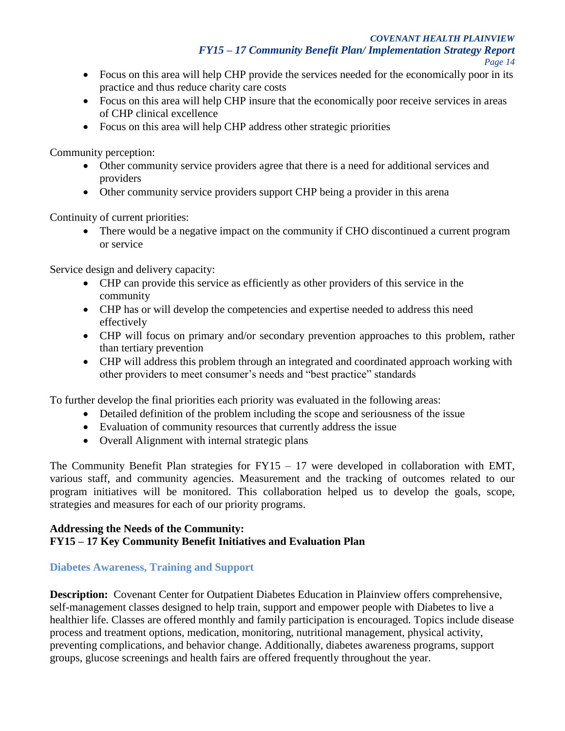- Focus on this area will help CHP provide the services needed for the economically poor in its practice and thus reduce charity care costs
- Focus on this area will help CHP insure that the economically poor receive services in areas of CHP clinical excellence
- Focus on this area will help CHP address other strategic priorities

Community perception:

- Other community service providers agree that there is a need for additional services and providers
- Other community service providers support CHP being a provider in this arena

Continuity of current priorities:

• There would be a negative impact on the community if CHO discontinued a current program or service

Service design and delivery capacity:

- CHP can provide this service as efficiently as other providers of this service in the community
- CHP has or will develop the competencies and expertise needed to address this need effectively
- CHP will focus on primary and/or secondary prevention approaches to this problem, rather than tertiary prevention
- CHP will address this problem through an integrated and coordinated approach working with other providers to meet consumer's needs and "best practice" standards

To further develop the final priorities each priority was evaluated in the following areas:

- Detailed definition of the problem including the scope and seriousness of the issue
- Evaluation of community resources that currently address the issue
- Overall Alignment with internal strategic plans

The Community Benefit Plan strategies for  $FY15 - 17$  were developed in collaboration with EMT, various staff, and community agencies. Measurement and the tracking of outcomes related to our program initiatives will be monitored. This collaboration helped us to develop the goals, scope, strategies and measures for each of our priority programs.

## **Addressing the Needs of the Community: FY15 – 17 Key Community Benefit Initiatives and Evaluation Plan**

# **Diabetes Awareness, Training and Support**

**Description:** Covenant Center for Outpatient Diabetes Education in Plainview offers comprehensive, self-management classes designed to help train, support and empower people with Diabetes to live a healthier life. Classes are offered monthly and family participation is encouraged. Topics include disease process and treatment options, medication, monitoring, nutritional management, physical activity, preventing complications, and behavior change. Additionally, diabetes awareness programs, support groups, glucose screenings and health fairs are offered frequently throughout the year.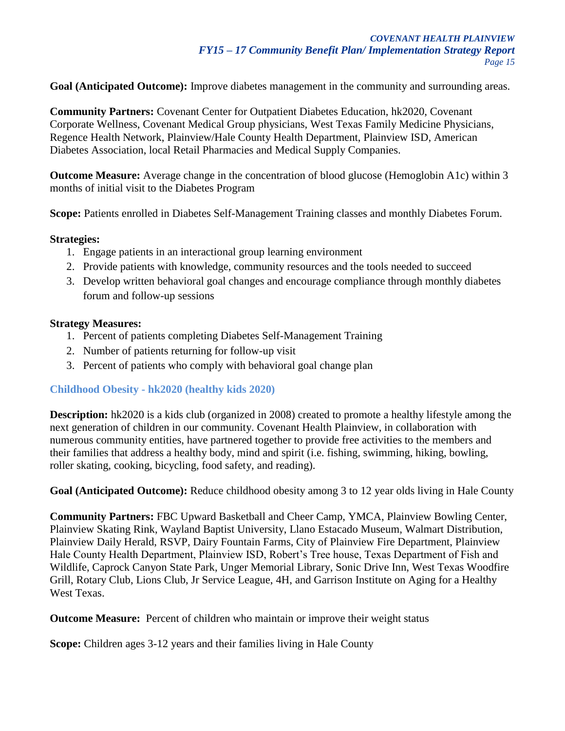**Goal (Anticipated Outcome):** Improve diabetes management in the community and surrounding areas.

**Community Partners:** Covenant Center for Outpatient Diabetes Education, hk2020, Covenant Corporate Wellness, Covenant Medical Group physicians, West Texas Family Medicine Physicians, Regence Health Network, Plainview/Hale County Health Department, Plainview ISD, American Diabetes Association, local Retail Pharmacies and Medical Supply Companies.

**Outcome Measure:** Average change in the concentration of blood glucose (Hemoglobin A1c) within 3 months of initial visit to the Diabetes Program

**Scope:** Patients enrolled in Diabetes Self-Management Training classes and monthly Diabetes Forum.

#### **Strategies:**

- 1. Engage patients in an interactional group learning environment
- 2. Provide patients with knowledge, community resources and the tools needed to succeed
- 3. Develop written behavioral goal changes and encourage compliance through monthly diabetes forum and follow-up sessions

#### **Strategy Measures:**

- 1. Percent of patients completing Diabetes Self-Management Training
- 2. Number of patients returning for follow-up visit
- 3. Percent of patients who comply with behavioral goal change plan

## **Childhood Obesity - hk2020 (healthy kids 2020)**

**Description:** hk2020 is a kids club (organized in 2008) created to promote a healthy lifestyle among the next generation of children in our community. Covenant Health Plainview, in collaboration with numerous community entities, have partnered together to provide free activities to the members and their families that address a healthy body, mind and spirit (i.e. fishing, swimming, hiking, bowling, roller skating, cooking, bicycling, food safety, and reading).

**Goal (Anticipated Outcome):** Reduce childhood obesity among 3 to 12 year olds living in Hale County

**Community Partners:** FBC Upward Basketball and Cheer Camp, YMCA, Plainview Bowling Center, Plainview Skating Rink, Wayland Baptist University, Llano Estacado Museum, Walmart Distribution, Plainview Daily Herald, RSVP, Dairy Fountain Farms, City of Plainview Fire Department, Plainview Hale County Health Department, Plainview ISD, Robert's Tree house, Texas Department of Fish and Wildlife, Caprock Canyon State Park, Unger Memorial Library, Sonic Drive Inn, West Texas Woodfire Grill, Rotary Club, Lions Club, Jr Service League, 4H, and Garrison Institute on Aging for a Healthy West Texas.

**Outcome Measure:** Percent of children who maintain or improve their weight status

**Scope:** Children ages 3-12 years and their families living in Hale County